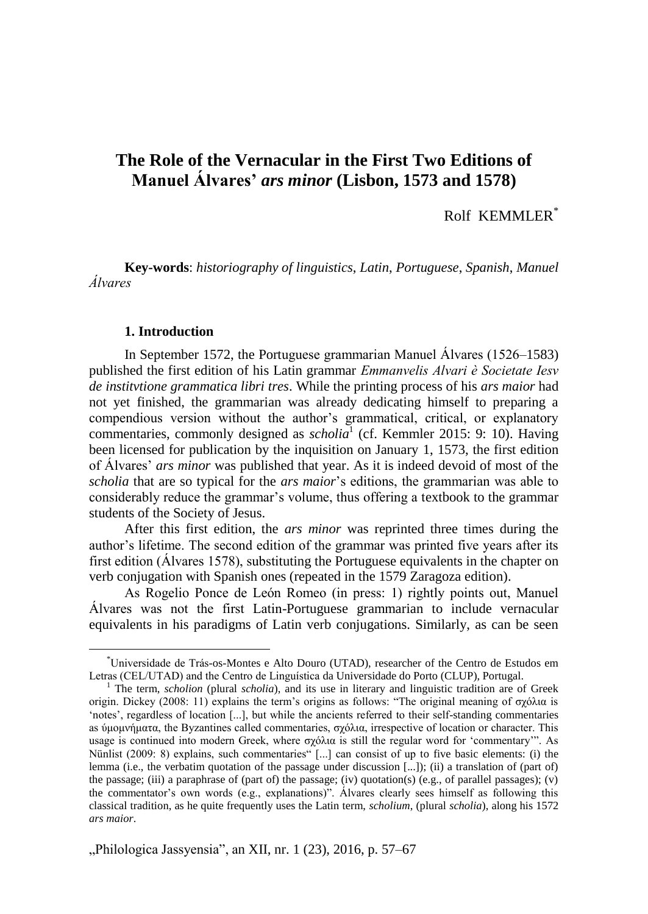# **The Role of the Vernacular in the First Two Editions of Manuel Álvares'** *ars minor* **(Lisbon, 1573 and 1578)**

### Rolf KEMMLER\*

**Key-words**: *historiography of linguistics*, *Latin*, *Portuguese*, *Spanish*, *Manuel Álvares*

#### **1. Introduction**

 $\overline{a}$ 

In September 1572, the Portuguese grammarian Manuel Álvares (1526–1583) published the first edition of his Latin grammar *Emmanvelis Alvari è Societate Iesv de institvtione grammatica libri tres*. While the printing process of his *ars maior* had not yet finished, the grammarian was already dedicating himself to preparing a compendious version without the author's grammatical, critical, or explanatory commentaries, commonly designed as *scholia*<sup>1</sup> (cf. Kemmler 2015: 9: 10). Having been licensed for publication by the inquisition on January 1, 1573, the first edition of Álvares' *ars minor* was published that year. As it is indeed devoid of most of the *scholia* that are so typical for the *ars maior*'s editions, the grammarian was able to considerably reduce the grammar's volume, thus offering a textbook to the grammar students of the Society of Jesus.

After this first edition, the *ars minor* was reprinted three times during the author's lifetime. The second edition of the grammar was printed five years after its first edition (Álvares 1578), substituting the Portuguese equivalents in the chapter on verb conjugation with Spanish ones (repeated in the 1579 Zaragoza edition).

As Rogelio Ponce de León Romeo (in press: 1) rightly points out, Manuel Álvares was not the first Latin-Portuguese grammarian to include vernacular equivalents in his paradigms of Latin verb conjugations. Similarly, as can be seen

<sup>\*</sup>Universidade de Trás-os-Montes e Alto Douro (UTAD), researcher of the Centro de Estudos em Letras (CEL/UTAD) and the Centro de Linguística da Universidade do Porto (CLUP), Portugal.

<sup>&</sup>lt;sup>1</sup> The term, *scholion* (plural *scholia*), and its use in literary and linguistic tradition are of Greek origin. Dickey (2008: 11) explains the term's origins as follows: "The original meaning of σχόλια is 'notes', regardless of location [...], but while the ancients referred to their self-standing commentaries as ύμομνήματα, the Byzantines called commentaries, σχόλια, irrespective of location or character. This usage is continued into modern Greek, where σχόλια is still the regular word for 'commentary'". As Nünlist (2009: 8) explains, such commentaries" [...] can consist of up to five basic elements: (i) the lemma (i.e., the verbatim quotation of the passage under discussion [...]); (ii) a translation of (part of) the passage; (iii) a paraphrase of (part of) the passage; (iv) quotation(s) (e.g., of parallel passages); (v) the commentator's own words (e.g., explanations)". Álvares clearly sees himself as following this classical tradition, as he quite frequently uses the Latin term, *scholium*, (plural *scholia*), along his 1572 *ars maior*.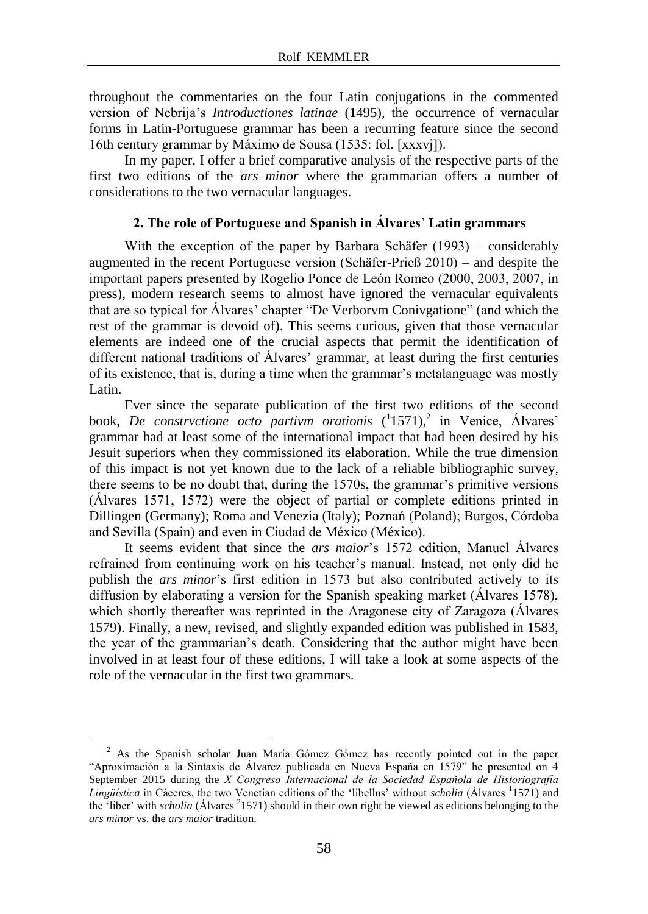throughout the commentaries on the four Latin conjugations in the commented version of Nebrija's *Introductiones latinae* (1495), the occurrence of vernacular forms in Latin-Portuguese grammar has been a recurring feature since the second 16th century grammar by Máximo de Sousa (1535: fol. [xxxvj]).

In my paper, I offer a brief comparative analysis of the respective parts of the first two editions of the *ars minor* where the grammarian offers a number of considerations to the two vernacular languages.

#### **2. The role of Portuguese and Spanish in Álvares**' **Latin grammars**

With the exception of the paper by Barbara Schäfer (1993) – considerably augmented in the recent Portuguese version (Schäfer-Prieß 2010) – and despite the important papers presented by Rogelio Ponce de León Romeo (2000, 2003, 2007, in press), modern research seems to almost have ignored the vernacular equivalents that are so typical for Álvares' chapter "De Verborvm Conivgatione" (and which the rest of the grammar is devoid of). This seems curious, given that those vernacular elements are indeed one of the crucial aspects that permit the identification of different national traditions of Álvares' grammar, at least during the first centuries of its existence, that is, during a time when the grammar's metalanguage was mostly Latin.

Ever since the separate publication of the first two editions of the second book, *De constrvctione octo partivm orationis* (<sup>1</sup>1571),<sup>2</sup> in Venice, Álvares' grammar had at least some of the international impact that had been desired by his Jesuit superiors when they commissioned its elaboration. While the true dimension of this impact is not yet known due to the lack of a reliable bibliographic survey, there seems to be no doubt that, during the 1570s, the grammar's primitive versions (Álvares 1571, 1572) were the object of partial or complete editions printed in Dillingen (Germany); Roma and Venezia (Italy); Poznań (Poland); Burgos, Córdoba and Sevilla (Spain) and even in Ciudad de México (México).

It seems evident that since the *ars maior*'s 1572 edition, Manuel Álvares refrained from continuing work on his teacher's manual. Instead, not only did he publish the *ars minor*'s first edition in 1573 but also contributed actively to its diffusion by elaborating a version for the Spanish speaking market (Álvares 1578), which shortly thereafter was reprinted in the Aragonese city of Zaragoza (Álvares 1579). Finally, a new, revised, and slightly expanded edition was published in 1583, the year of the grammarian's death. Considering that the author might have been involved in at least four of these editions, I will take a look at some aspects of the role of the vernacular in the first two grammars.

<sup>&</sup>lt;sup>2</sup> As the Spanish scholar Juan María Gómez Gómez has recently pointed out in the paper "Aproximación a la Sintaxis de Álvarez publicada en Nueva España en 1579" he presented on 4 September 2015 during the *X Congreso Internacional de la Sociedad Española de Historiografía*  Lingüística in Cáceres, the two Venetian editions of the 'libellus' without *scholia* (Álvares <sup>1</sup>1571) and the 'liber' with *scholia* (Álvares <sup>2</sup>1571) should in their own right be viewed as editions belonging to the *ars minor* vs. the *ars maior* tradition.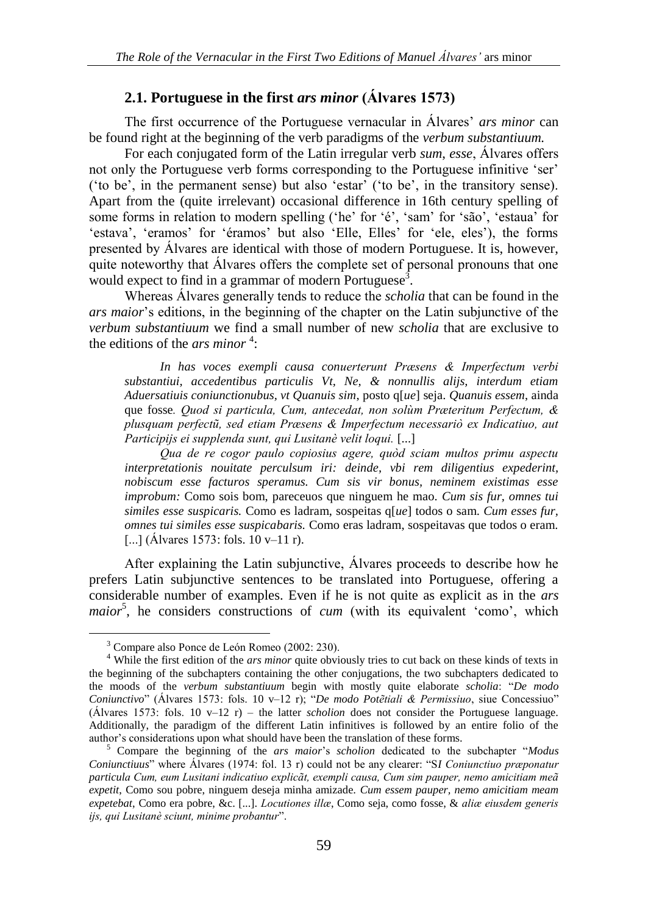### **2.1. Portuguese in the first** *ars minor* **(Álvares 1573)**

The first occurrence of the Portuguese vernacular in Álvares' *ars minor* can be found right at the beginning of the verb paradigms of the *verbum substantiuum.* 

For each conjugated form of the Latin irregular verb *sum*, *esse*, Álvares offers not only the Portuguese verb forms corresponding to the Portuguese infinitive 'ser' ('to be', in the permanent sense) but also 'estar' ('to be', in the transitory sense). Apart from the (quite irrelevant) occasional difference in 16th century spelling of some forms in relation to modern spelling ('he' for 'é', 'sam' for 'são', 'estaua' for 'estava', 'eramos' for 'éramos' but also 'Elle, Elles' for 'ele, eles'), the forms presented by Álvares are identical with those of modern Portuguese. It is, however, quite noteworthy that Álvares offers the complete set of personal pronouns that one would expect to find in a grammar of modern Portuguese<sup>3</sup>.

Whereas Álvares generally tends to reduce the *scholia* that can be found in the *ars maior*'s editions, in the beginning of the chapter on the Latin subjunctive of the *verbum substantiuum* we find a small number of new *scholia* that are exclusive to the editions of the *ars minor*<sup>4</sup>:

*In has voces exempli causa conuerterunt Præsens & Imperfectum verbi substantiui, accedentibus particulis Vt, Ne, & nonnullis alijs, interdum etiam Aduersatiuis coniunctionubus, vt Quanuis sim*, posto q[*ue*] seja. *Quanuis essem*, ainda que fosse*. Quod si particula, Cum, antecedat, non solùm Præteritum Perfectum, & plusquam perfectũ, sed etiam Præsens & Imperfectum necessariò ex Indicatiuo, aut Participijs ei supplenda sunt, qui Lusitanè velit loqui.* [...]

*Qua de re cogor paulo copiosius agere, quòd sciam multos primu aspectu interpretationis nouitate perculsum iri: deinde, vbi rem diligentius expederint, nobiscum esse facturos speramus. Cum sis vir bonus, neminem existimas esse improbum:* Como sois bom, pareceuos que ninguem he mao. *Cum sis fur, omnes tui similes esse suspicaris.* Como es ladram, sospeitas q[*ue*] todos o sam. *Cum esses fur, omnes tui similes esse suspicabaris.* Como eras ladram, sospeitavas que todos o eram. [...] (Álvares 1573: fols. 10 v–11 r).

After explaining the Latin subjunctive, Álvares proceeds to describe how he prefers Latin subjunctive sentences to be translated into Portuguese, offering a considerable number of examples. Even if he is not quite as explicit as in the *ars*  maior<sup>5</sup>, he considers constructions of *cum* (with its equivalent 'como', which

<sup>3</sup> Compare also Ponce de León Romeo (2002: 230).

<sup>4</sup> While the first edition of the *ars minor* quite obviously tries to cut back on these kinds of texts in the beginning of the subchapters containing the other conjugations, the two subchapters dedicated to the moods of the *verbum substantiuum* begin with mostly quite elaborate *scholia*: "*De modo Coniunctivo*" (Álvares 1573: fols. 10 v–12 r); "*De modo Potẽtiali & Permissiuo*, siue Concessiuo" (Álvares 1573: fols. 10 v–12 r) – the latter *scholion* does not consider the Portuguese language. Additionally, the paradigm of the different Latin infinitives is followed by an entire folio of the author's considerations upon what should have been the translation of these forms.

<sup>5</sup> Compare the beginning of the *ars maior*'s *scholion* dedicated to the subchapter "*Modus Coniunctiuus*" where Álvares (1974: fol. 13 r) could not be any clearer: "S*I Coniunctiuo præponatur particula Cum, eum Lusitani indicatiuo explicãt, exempli causa, Cum sim pauper, nemo amicitiam meã expetit*, Como sou pobre, ninguem deseja minha amizade. *Cum essem pauper, nemo amicitiam meam expetebat*, Como era pobre, &c. [...]. *Locutiones illæ*, Como seja, como fosse, & *aliæ eiusdem generis ijs, qui Lusitanè sciunt, minime probantur*".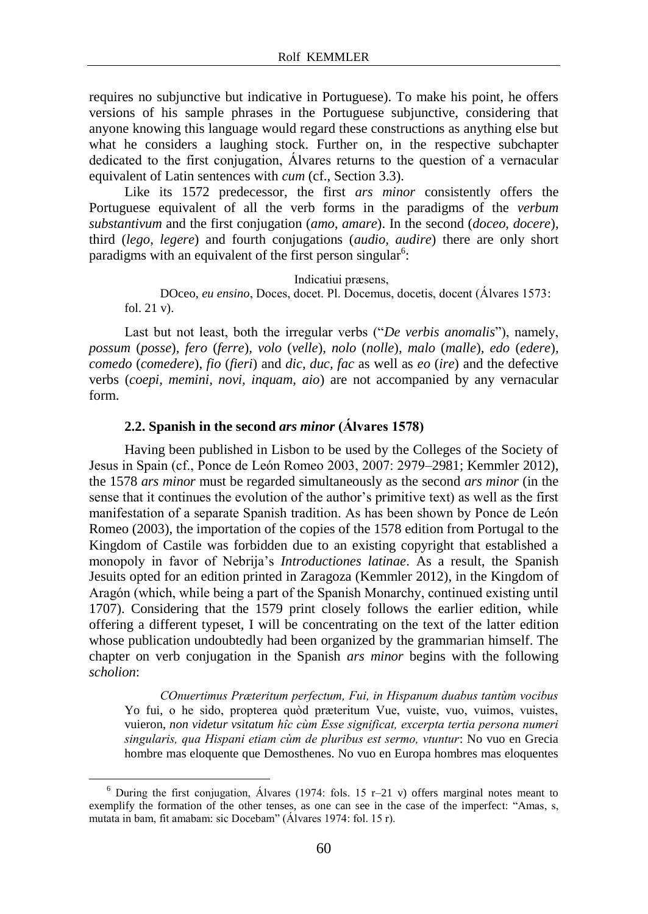requires no subjunctive but indicative in Portuguese). To make his point, he offers versions of his sample phrases in the Portuguese subjunctive, considering that anyone knowing this language would regard these constructions as anything else but what he considers a laughing stock. Further on, in the respective subchapter dedicated to the first conjugation, Álvares returns to the question of a vernacular equivalent of Latin sentences with *cum* (cf., Section 3.3).

Like its 1572 predecessor, the first *ars minor* consistently offers the Portuguese equivalent of all the verb forms in the paradigms of the *verbum substantivum* and the first conjugation (*amo*, *amare*). In the second (*doceo*, *docere*), third (*lego*, *legere*) and fourth conjugations (*audio, audire*) there are only short paradigms with an equivalent of the first person singular<sup>6</sup>:

Indicatiui præsens,

DOceo, *eu ensino*, Doces, docet. Pl. Docemus, docetis, docent (Álvares 1573: fol. 21 v).

Last but not least, both the irregular verbs ("*De verbis anomalis*"), namely, *possum* (*posse*)*, fero* (*ferre*)*, volo* (*velle*)*, nolo* (*nolle*)*, malo* (*malle*)*, edo* (*edere*)*, comedo* (*comedere*)*, fio* (*fieri*) and *dic, duc, fac* as well as *eo* (*ire*) and the defective verbs (*coepi, memini, novi, inquam, aio*) are not accompanied by any vernacular form.

#### **2.2. Spanish in the second** *ars minor* **(Álvares 1578)**

Having been published in Lisbon to be used by the Colleges of the Society of Jesus in Spain (cf., Ponce de León Romeo 2003, 2007: 2979–2981; Kemmler 2012), the 1578 *ars minor* must be regarded simultaneously as the second *ars minor* (in the sense that it continues the evolution of the author's primitive text) as well as the first manifestation of a separate Spanish tradition. As has been shown by Ponce de León Romeo (2003), the importation of the copies of the 1578 edition from Portugal to the Kingdom of Castile was forbidden due to an existing copyright that established a monopoly in favor of Nebrija's *Introductiones latinae*. As a result, the Spanish Jesuits opted for an edition printed in Zaragoza (Kemmler 2012), in the Kingdom of Aragón (which, while being a part of the Spanish Monarchy, continued existing until 1707). Considering that the 1579 print closely follows the earlier edition, while offering a different typeset, I will be concentrating on the text of the latter edition whose publication undoubtedly had been organized by the grammarian himself. The chapter on verb conjugation in the Spanish *ars minor* begins with the following *scholion*:

*COnuertimus Præteritum perfectum, Fui, in Hispanum duabus tantùm vocibus*  Yo fui, o he sido, propterea quòd præteritum Vue, vuiste, vuo, vuimos, vuistes, vuieron, *non videtur vsitatum hîc cùm Esse significat, excerpta tertia persona numeri singularis, qua Hispani etiam cùm de pluribus est sermo, vtuntur*: No vuo en Grecia hombre mas eloquente que Demosthenes. No vuo en Europa hombres mas eloquentes

<sup>&</sup>lt;sup>6</sup> During the first conjugation, Álvares (1974: fols. 15 r–21 v) offers marginal notes meant to exemplify the formation of the other tenses, as one can see in the case of the imperfect: "Amas, s, mutata in bam, fit amabam: sic Docebam" (Álvares 1974: fol. 15 r).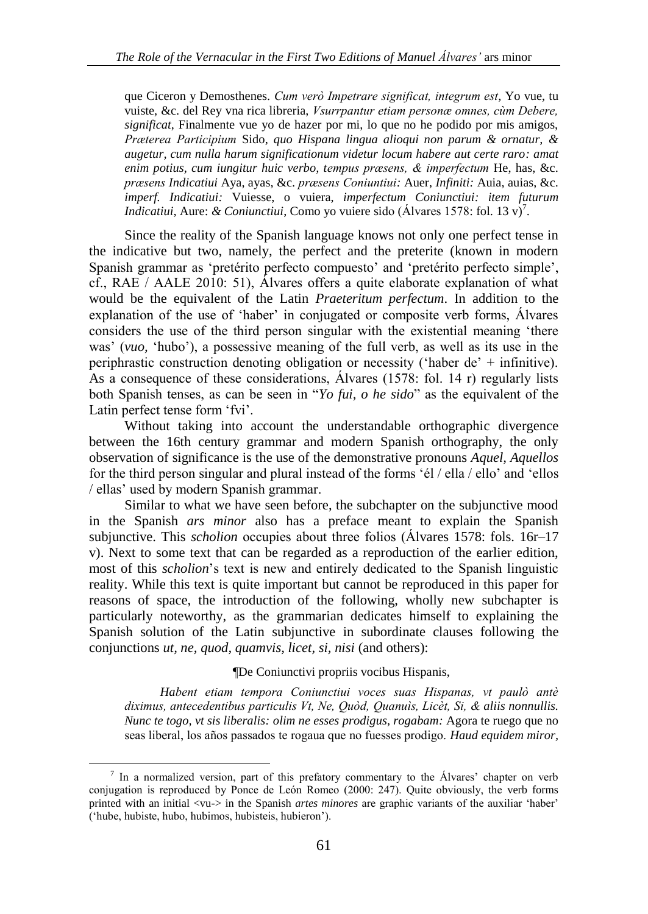que Ciceron y Demosthenes. *Cum verò Impetrare significat, integrum est*, Yo vue, tu vuiste, &c. del Rey vna rica libreria, *Vsurrpantur etiam personæ omnes, cùm Debere, significat*, Finalmente vue yo de hazer por mi, lo que no he podido por mis amigos, *Præterea Participium* Sido, *quo Hispana lingua alioqui non parum & ornatur, & augetur, cum nulla harum significationum videtur locum habere aut certe raro: amat enim potius, cum iungitur huic verbo, tempus præsens, & imperfectum* He, has, &c. *præsens Indicatiui* Aya, ayas, &c. *præsens Coniuntiui:* Auer, *Infiniti:* Auia, auias, &c. *imperf. Indicatiui:* Vuiesse, o vuiera, *imperfectum Coniunctiui: item futurum Indicatiui*, Aure: *& Coniunctiui*, Como yo vuiere sido (Álvares 1578: fol. 13 v)<sup>7</sup>.

Since the reality of the Spanish language knows not only one perfect tense in the indicative but two, namely, the perfect and the preterite (known in modern Spanish grammar as 'pretérito perfecto compuesto' and 'pretérito perfecto simple', cf., RAE / AALE 2010: 51), Álvares offers a quite elaborate explanation of what would be the equivalent of the Latin *Praeteritum perfectum*. In addition to the explanation of the use of 'haber' in conjugated or composite verb forms, Álvares considers the use of the third person singular with the existential meaning 'there was' (*vuo,* 'hubo'), a possessive meaning of the full verb, as well as its use in the periphrastic construction denoting obligation or necessity ('haber de' + infinitive). As a consequence of these considerations, Álvares (1578: fol. 14 r) regularly lists both Spanish tenses, as can be seen in "*Yo fui, o he sido*" as the equivalent of the Latin perfect tense form 'fvi'.

Without taking into account the understandable orthographic divergence between the 16th century grammar and modern Spanish orthography, the only observation of significance is the use of the demonstrative pronouns *Aquel, Aquellos*  for the third person singular and plural instead of the forms 'él / ella / ello' and 'ellos / ellas' used by modern Spanish grammar.

Similar to what we have seen before, the subchapter on the subjunctive mood in the Spanish *ars minor* also has a preface meant to explain the Spanish subjunctive. This *scholion* occupies about three folios (Álvares 1578: fols. 16r–17 v). Next to some text that can be regarded as a reproduction of the earlier edition, most of this *scholion*'s text is new and entirely dedicated to the Spanish linguistic reality. While this text is quite important but cannot be reproduced in this paper for reasons of space, the introduction of the following, wholly new subchapter is particularly noteworthy, as the grammarian dedicates himself to explaining the Spanish solution of the Latin subjunctive in subordinate clauses following the conjunctions *ut, ne, quod, quamvis, licet, si, nisi* (and others):

¶De Coniunctivi propriis vocibus Hispanis,

*Habent etiam tempora Coniunctiui voces suas Hispanas, vt paulò antè diximus, antecedentibus particulis Vt, Ne, Quòd, Quanuìs, Licèt, Si, & aliis nonnullis. Nunc te togo, vt sis liberalis: olim ne esses prodigus, rogabam:* Agora te ruego que no seas liberal, los años passados te rogaua que no fuesses prodigo. *Haud equidem miror,* 

 $<sup>7</sup>$  In a normalized version, part of this prefatory commentary to the Álvares' chapter on verb</sup> conjugation is reproduced by Ponce de León Romeo (2000: 247). Quite obviously, the verb forms printed with an initial <vu-> in the Spanish *artes minores* are graphic variants of the auxiliar 'haber' ('hube, hubiste, hubo, hubimos, hubisteis, hubieron').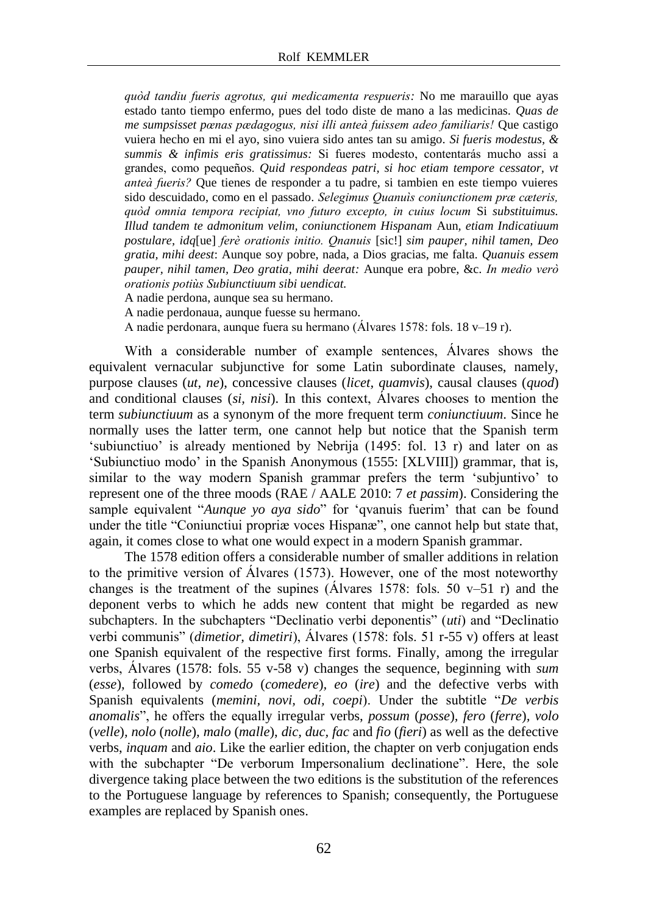*quòd tandiu fueris agrotus, qui medicamenta respueris:* No me marauillo que ayas estado tanto tiempo enfermo, pues del todo diste de mano a las medicinas. *Quas de me sumpsisset pœnas pædagogus, nisi illi anteà fuissem adeo familiaris!* Que castigo vuiera hecho en mi el ayo, sino vuiera sido antes tan su amigo. *Si fueris modestus, & summis & infimis eris gratissimus:* Si fueres modesto, contentarás mucho assi a grandes, como pequeños. *Quid respondeas patri, si hoc etiam tempore cessator, vt anteà fueris?* Que tienes de responder a tu padre, si tambien en este tiempo vuieres sido descuidado, como en el passado. *Selegimus Quanuìs coniunctionem præ cæteris, quòd omnia tempora recipiat, vno futuro excepto, in cuius locum* Si *substituimus. Illud tandem te admonitum velim, coniunctionem Hispanam* Aun*, etiam Indicatiuum postulare, idq*[ue] *ferè orationis initio. Qnanuis* [sic!] *sim pauper, nihil tamen, Deo gratia, mihi deest*: Aunque soy pobre, nada, a Dios gracias, me falta. *Quanuis essem pauper, nihil tamen, Deo gratia, mihi deerat:* Aunque era pobre, &c. *In medio verò orationis potiùs Subiunctiuum sibi uendicat.*

A nadie perdona, aunque sea su hermano.

A nadie perdonaua, aunque fuesse su hermano.

A nadie perdonara, aunque fuera su hermano (Álvares 1578: fols. 18 v–19 r).

With a considerable number of example sentences, Álvares shows the equivalent vernacular subjunctive for some Latin subordinate clauses, namely, purpose clauses (*ut, ne*), concessive clauses (*licet, quamvis*), causal clauses (*quod*) and conditional clauses (*si, nisi*). In this context, Álvares chooses to mention the term *subiunctiuum* as a synonym of the more frequent term *coniunctiuum*. Since he normally uses the latter term, one cannot help but notice that the Spanish term 'subiunctiuo' is already mentioned by Nebrija (1495: fol. 13 r) and later on as 'Subiunctiuo modo' in the Spanish Anonymous (1555: [XLVIII]) grammar, that is, similar to the way modern Spanish grammar prefers the term 'subjuntivo' to represent one of the three moods (RAE / AALE 2010: 7 *et passim*). Considering the sample equivalent "*Aunque yo aya sido*" for 'qvanuis fuerim' that can be found under the title "Coniunctiui propriæ voces Hispanæ", one cannot help but state that, again, it comes close to what one would expect in a modern Spanish grammar.

The 1578 edition offers a considerable number of smaller additions in relation to the primitive version of Álvares (1573). However, one of the most noteworthy changes is the treatment of the supines (Álvares 1578: fols. 50  $v-51$  r) and the deponent verbs to which he adds new content that might be regarded as new subchapters. In the subchapters "Declinatio verbi deponentis" (*uti*) and "Declinatio verbi communis" (*dimetior, dimetiri*), Álvares (1578: fols. 51 r-55 v) offers at least one Spanish equivalent of the respective first forms. Finally, among the irregular verbs, Álvares (1578: fols. 55 v-58 v) changes the sequence, beginning with *sum* (*esse*)*,* followed by *comedo* (*comedere*)*, eo* (*ire*) and the defective verbs with Spanish equivalents (*memini, novi, odi, coepi*). Under the subtitle "*De verbis anomalis*", he offers the equally irregular verbs, *possum* (*posse*)*, fero* (*ferre*)*, volo* (*velle*)*, nolo* (*nolle*)*, malo* (*malle*), *dic, duc, fac* and *fio* (*fieri*) as well as the defective verbs, *inquam* and *aio*. Like the earlier edition, the chapter on verb conjugation ends with the subchapter "De verborum Impersonalium declinatione". Here, the sole divergence taking place between the two editions is the substitution of the references to the Portuguese language by references to Spanish; consequently, the Portuguese examples are replaced by Spanish ones.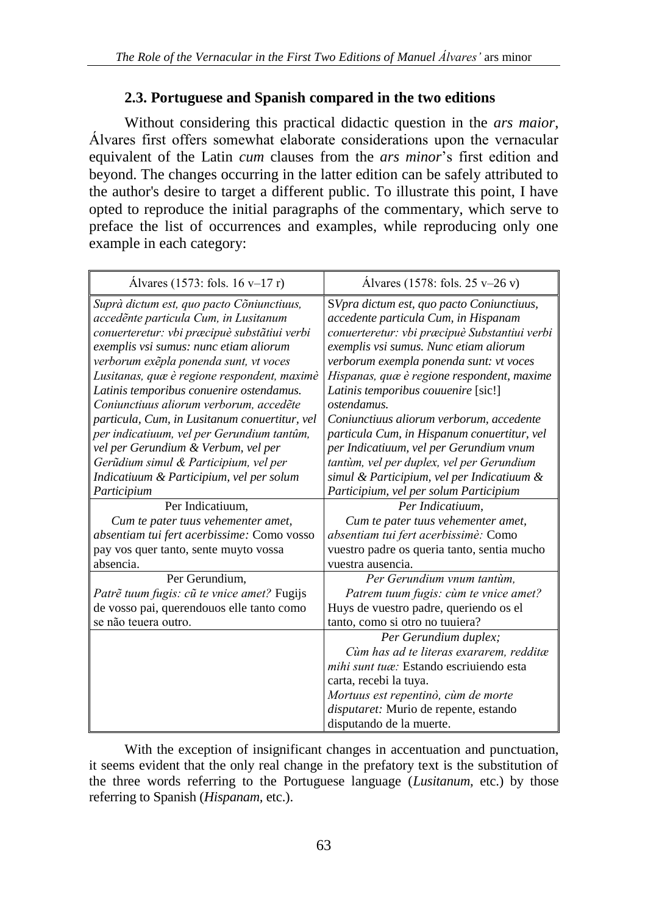## **2.3. Portuguese and Spanish compared in the two editions**

Without considering this practical didactic question in the *ars maior*, Álvares first offers somewhat elaborate considerations upon the vernacular equivalent of the Latin *cum* clauses from the *ars minor*'s first edition and beyond. The changes occurring in the latter edition can be safely attributed to the author's desire to target a different public. To illustrate this point, I have opted to reproduce the initial paragraphs of the commentary, which serve to preface the list of occurrences and examples, while reproducing only one example in each category:

| Álvares (1573: fols. $16 v-17 r$ )            | Álvares (1578: fols. $25 v-26 v$ )            |
|-----------------------------------------------|-----------------------------------------------|
| Suprà dictum est, quo pacto Cõniunctiuus,     | SVpra dictum est, quo pacto Coniunctiuus,     |
| accedênte particula Cum, in Lusitanum         | accedente particula Cum, in Hispanam          |
| conuerteretur: vbi præcipuè substãtiui verbi  | conuerteretur: vbi præcipuè Substantiui verbi |
| exemplis vsi sumus: nunc etiam aliorum        | exemplis vsi sumus. Nunc etiam aliorum        |
| verborum exepla ponenda sunt, vt voces        | verborum exempla ponenda sunt: vt voces       |
| Lusitanas, quæ è regione respondent, maximè   | Hispanas, quæ è regione respondent, maxime    |
| Latinis temporibus conuenire ostendamus.      | Latinis temporibus couuenire [sic!]           |
| Coniunctiuus aliorum verborum, accedête       | <i>ostendamus.</i>                            |
| particula, Cum, in Lusitanum conuertitur, vel | Coniunctiuus aliorum verborum, accedente      |
| per indicatiuum, vel per Gerundium tantûm,    | particula Cum, in Hispanum conuertitur, vel   |
| vel per Gerundium & Verbum, vel per           | per Indicatiuum, vel per Gerundium vnum       |
| Gerũdium simul & Participium, vel per         | tantùm, vel per duplex, vel per Gerundium     |
| Indicatiuum & Participium, vel per solum      | simul & Participium, vel per Indicatiuum &    |
| Participium                                   | Participium, vel per solum Participium        |
| Per Indicatiuum,                              | Per Indicatiuum.                              |
| Cum te pater tuus vehementer amet,            | Cum te pater tuus vehementer amet,            |
| absentiam tui fert acerbissime: Como vosso    | absentiam tui fert acerbissimè: Como          |
| pay vos quer tanto, sente muyto vossa         | vuestro padre os queria tanto, sentia mucho   |
| absencia.                                     | vuestra ausencia.                             |
| Per Gerundium,                                | Per Gerundium vnum tantùm,                    |
| Patrẽ tuum fugis: cũ te vnice amet? Fugijs    | Patrem tuum fugis: cùm te vnice amet?         |
| de vosso pai, querendouos elle tanto como     | Huys de vuestro padre, queriendo os el        |
| se não teuera outro.                          | tanto, como si otro no tuuiera?               |
|                                               | Per Gerundium duplex;                         |
|                                               | Cùm has ad te literas exararem, redditæ       |
|                                               | mihi sunt tuæ: Estando escriuiendo esta       |
|                                               | carta, recebi la tuya.                        |
|                                               | Mortuus est repentinò, cùm de morte           |
|                                               | disputaret: Murio de repente, estando         |
|                                               |                                               |

With the exception of insignificant changes in accentuation and punctuation, it seems evident that the only real change in the prefatory text is the substitution of the three words referring to the Portuguese language (*Lusitanum,* etc.) by those referring to Spanish (*Hispanam,* etc.).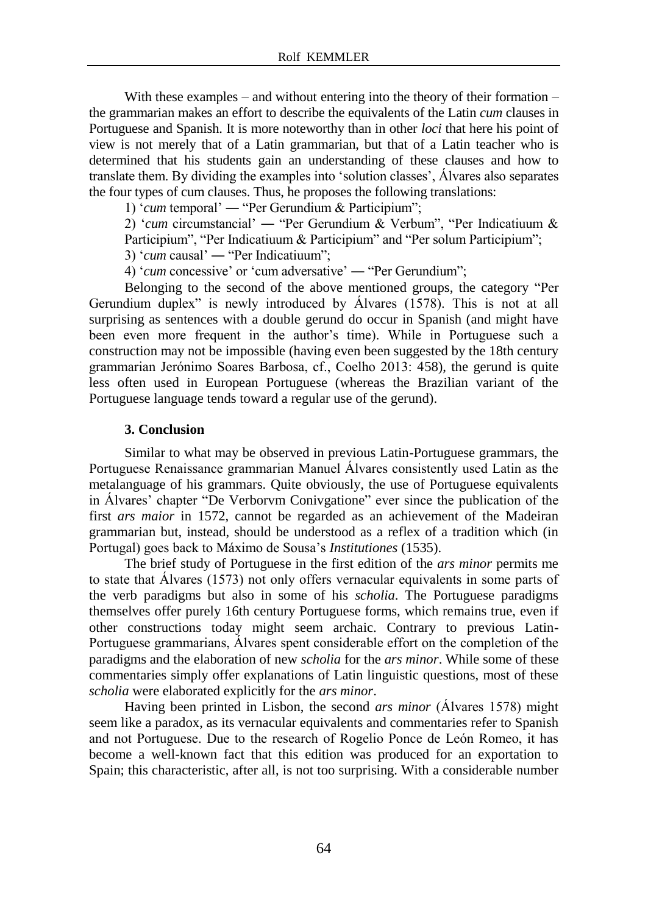With these examples – and without entering into the theory of their formation – the grammarian makes an effort to describe the equivalents of the Latin *cum* clauses in Portuguese and Spanish. It is more noteworthy than in other *loci* that here his point of view is not merely that of a Latin grammarian, but that of a Latin teacher who is determined that his students gain an understanding of these clauses and how to translate them. By dividing the examples into 'solution classes', Álvares also separates the four types of cum clauses. Thus, he proposes the following translations:

1) '*cum* temporal' ― "Per Gerundium & Participium";

2) '*cum* circumstancial' ― "Per Gerundium & Verbum", "Per Indicatiuum & Participium", "Per Indicatiuum & Participium" and "Per solum Participium";

3) '*cum* causal' ― "Per Indicatiuum";

4) '*cum* concessive' or 'cum adversative' — "Per Gerundium";

Belonging to the second of the above mentioned groups, the category "Per Gerundium duplex" is newly introduced by Álvares (1578). This is not at all surprising as sentences with a double gerund do occur in Spanish (and might have been even more frequent in the author's time). While in Portuguese such a construction may not be impossible (having even been suggested by the 18th century grammarian Jerónimo Soares Barbosa, cf., Coelho 2013: 458), the gerund is quite less often used in European Portuguese (whereas the Brazilian variant of the Portuguese language tends toward a regular use of the gerund).

#### **3. Conclusion**

Similar to what may be observed in previous Latin-Portuguese grammars, the Portuguese Renaissance grammarian Manuel Álvares consistently used Latin as the metalanguage of his grammars. Quite obviously, the use of Portuguese equivalents in Álvares' chapter "De Verborvm Conivgatione" ever since the publication of the first *ars maior* in 1572, cannot be regarded as an achievement of the Madeiran grammarian but, instead, should be understood as a reflex of a tradition which (in Portugal) goes back to Máximo de Sousa's *Institutiones* (1535).

The brief study of Portuguese in the first edition of the *ars minor* permits me to state that Álvares (1573) not only offers vernacular equivalents in some parts of the verb paradigms but also in some of his *scholia*. The Portuguese paradigms themselves offer purely 16th century Portuguese forms, which remains true, even if other constructions today might seem archaic. Contrary to previous Latin-Portuguese grammarians, Álvares spent considerable effort on the completion of the paradigms and the elaboration of new *scholia* for the *ars minor*. While some of these commentaries simply offer explanations of Latin linguistic questions, most of these *scholia* were elaborated explicitly for the *ars minor*.

Having been printed in Lisbon, the second *ars minor* (Álvares 1578) might seem like a paradox, as its vernacular equivalents and commentaries refer to Spanish and not Portuguese. Due to the research of Rogelio Ponce de León Romeo, it has become a well-known fact that this edition was produced for an exportation to Spain; this characteristic, after all, is not too surprising. With a considerable number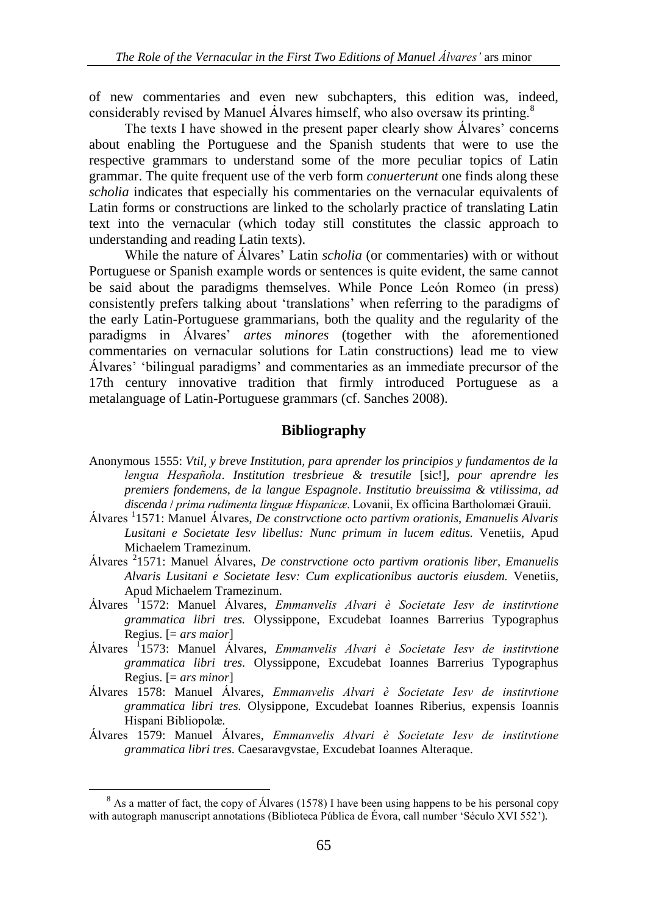of new commentaries and even new subchapters, this edition was, indeed, considerably revised by Manuel Álvares himself, who also oversaw its printing.<sup>8</sup>

The texts I have showed in the present paper clearly show Álvares' concerns about enabling the Portuguese and the Spanish students that were to use the respective grammars to understand some of the more peculiar topics of Latin grammar. The quite frequent use of the verb form *conuerterunt* one finds along these *scholia* indicates that especially his commentaries on the vernacular equivalents of Latin forms or constructions are linked to the scholarly practice of translating Latin text into the vernacular (which today still constitutes the classic approach to understanding and reading Latin texts).

While the nature of Álvares' Latin *scholia* (or commentaries) with or without Portuguese or Spanish example words or sentences is quite evident, the same cannot be said about the paradigms themselves. While Ponce León Romeo (in press) consistently prefers talking about 'translations' when referring to the paradigms of the early Latin-Portuguese grammarians, both the quality and the regularity of the paradigms in Álvares' *artes minores* (together with the aforementioned commentaries on vernacular solutions for Latin constructions) lead me to view Álvares' 'bilingual paradigms' and commentaries as an immediate precursor of the 17th century innovative tradition that firmly introduced Portuguese as a metalanguage of Latin-Portuguese grammars (cf. Sanches 2008).

### **Bibliography**

- Anonymous 1555: *Vtil, y breve Institution, para aprender los principios y fundamentos de la lengua Hespañola*. *Institution tresbrieue & tresutile* [sic!]*, pour aprendre les premiers fondemens, de la langue Espagnole*. *Institutio breuissima & vtilissima, ad discenda* / *prima rudimenta linguæ Hispanicæ*. Lovanii, Ex officina Bartholomæi Grauii.
- Álvares <sup>1</sup> 1571: Manuel Álvares, *De constrvctione octo partivm orationis, Emanuelis Alvaris Lusitani e Societate Iesv libellus: Nunc primum in lucem editus.* Venetiis, Apud Michaelem Tramezinum.
- Álvares <sup>2</sup> 1571: Manuel Álvares, *De constrvctione octo partivm orationis liber, Emanuelis Alvaris Lusitani e Societate Iesv: Cum explicationibus auctoris eiusdem.* Venetiis, Apud Michaelem Tramezinum.
- Álvares <sup>1</sup> 1572: Manuel Álvares, *Emmanvelis Alvari è Societate Iesv de institvtione grammatica libri tres.* Olyssippone, Excudebat Ioannes Barrerius Typographus Regius. [= *ars maior*]
- Álvares <sup>1</sup> 1573: Manuel Álvares, *Emmanvelis Alvari è Societate Iesv de institvtione grammatica libri tres.* Olyssippone, Excudebat Ioannes Barrerius Typographus Regius. [= *ars minor*]
- Álvares 1578: Manuel Álvares, *Emmanvelis Alvari è Societate Iesv de institvtione grammatica libri tres.* Olysippone, Excudebat Ioannes Riberius, expensis Ioannis Hispani Bibliopolæ*.*
- Álvares 1579: Manuel Álvares, *Emmanvelis Alvari è Societate Iesv de institvtione grammatica libri tres.* Caesaravgvstae, Excudebat Ioannes Alteraque*.*

<sup>&</sup>lt;sup>8</sup> As a matter of fact, the copy of Álvares (1578) I have been using happens to be his personal copy with autograph manuscript annotations (Biblioteca Pública de Évora, call number 'Século XVI 552').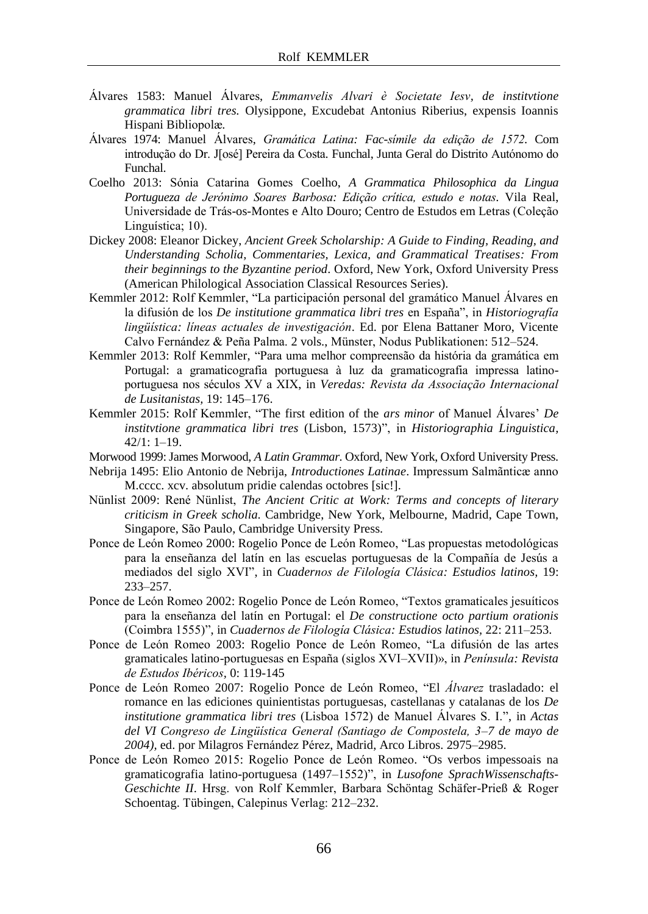- Álvares 1583: Manuel Álvares, *Emmanvelis Alvari è Societate Iesv, de institvtione grammatica libri tres.* Olysippone, Excudebat Antonius Riberius, expensis Ioannis Hispani Bibliopolæ*.*
- Álvares 1974: Manuel Álvares, *Gramática Latina: Fac-símile da edição de 1572.* Com introdução do Dr. J[osé] Pereira da Costa. Funchal, Junta Geral do Distrito Autónomo do Funchal.
- Coelho 2013: Sónia Catarina Gomes Coelho, *A Grammatica Philosophica da Lingua Portugueza de Jerónimo Soares Barbosa: Edição crítica, estudo e notas*. Vila Real, Universidade de Trás-os-Montes e Alto Douro; Centro de Estudos em Letras (Coleção Linguística; 10).
- Dickey 2008: Eleanor Dickey, *Ancient Greek Scholarship: A Guide to Finding, Reading, and Understanding Scholia, Commentaries, Lexica, and Grammatical Treatises: From their beginnings to the Byzantine period*. Oxford, New York, Oxford University Press (American Philological Association Classical Resources Series).
- Kemmler 2012: Rolf Kemmler, "La participación personal del gramático Manuel Álvares en la difusión de los *De institutione grammatica libri tres* en España", in *Historiografía lingüística: líneas actuales de investigación*. Ed. por Elena Battaner Moro, Vicente Calvo Fernández & Peña Palma. 2 vols., Münster, Nodus Publikationen: 512–524.
- Kemmler 2013: Rolf Kemmler, "Para uma melhor compreensão da história da gramática em Portugal: a gramaticografia portuguesa à luz da gramaticografia impressa latinoportuguesa nos séculos XV a XIX, in *Veredas: Revista da Associação Internacional de Lusitanistas,* 19: 145–176.
- Kemmler 2015: Rolf Kemmler, "The first edition of the *ars minor* of Manuel Álvares' *De institvtione grammatica libri tres* (Lisbon, 1573)", in *Historiographia Linguistica,* 42/1: 1–19.
- Morwood 1999: James Morwood, *A Latin Grammar*. Oxford, New York, Oxford University Press.
- Nebrija 1495: Elio Antonio de Nebrija, *Introductiones Latinae*. Impressum Salmãnticæ anno M.cccc. xcv. absolutum pridie calendas octobres [sic!].
- Nünlist 2009: René Nünlist, *The Ancient Critic at Work: Terms and concepts of literary criticism in Greek scholia.* Cambridge, New York, Melbourne, Madrid, Cape Town, Singapore, São Paulo, Cambridge University Press.
- Ponce de León Romeo 2000: Rogelio Ponce de León Romeo, "Las propuestas metodológicas para la enseñanza del latín en las escuelas portuguesas de la Compañía de Jesús a mediados del siglo XVI", in *Cuadernos de Filología Clásica: Estudios latinos,* 19: 233–257.
- Ponce de León Romeo 2002: Rogelio Ponce de León Romeo, "Textos gramaticales jesuíticos para la enseñanza del latín en Portugal: el *De constructione octo partium orationis* (Coimbra 1555)", in *Cuadernos de Filología Clásica: Estudios latinos,* 22: 211–253.
- Ponce de León Romeo 2003: Rogelio Ponce de León Romeo, "La difusión de las artes gramaticales latino-portuguesas en España (siglos XVI–XVII)», in *Península: Revista de Estudos Ibéricos,* 0: 119-145
- Ponce de León Romeo 2007: Rogelio Ponce de León Romeo, "El *Álvarez* trasladado: el romance en las ediciones quinientistas portuguesas, castellanas y catalanas de los *De institutione grammatica libri tres* (Lisboa 1572) de Manuel Álvares S. I.", in *Actas del VI Congreso de Lingüística General (Santiago de Compostela, 3–7 de mayo de 2004),* ed. por Milagros Fernández Pérez, Madrid, Arco Libros. 2975–2985.
- Ponce de León Romeo 2015: Rogelio Ponce de León Romeo. "Os verbos impessoais na gramaticografia latino-portuguesa (1497–1552)", in *Lusofone SprachWissenschafts-Geschichte II*. Hrsg. von Rolf Kemmler, Barbara Schöntag Schäfer-Prieß & Roger Schoentag. Tübingen, Calepinus Verlag: 212–232.